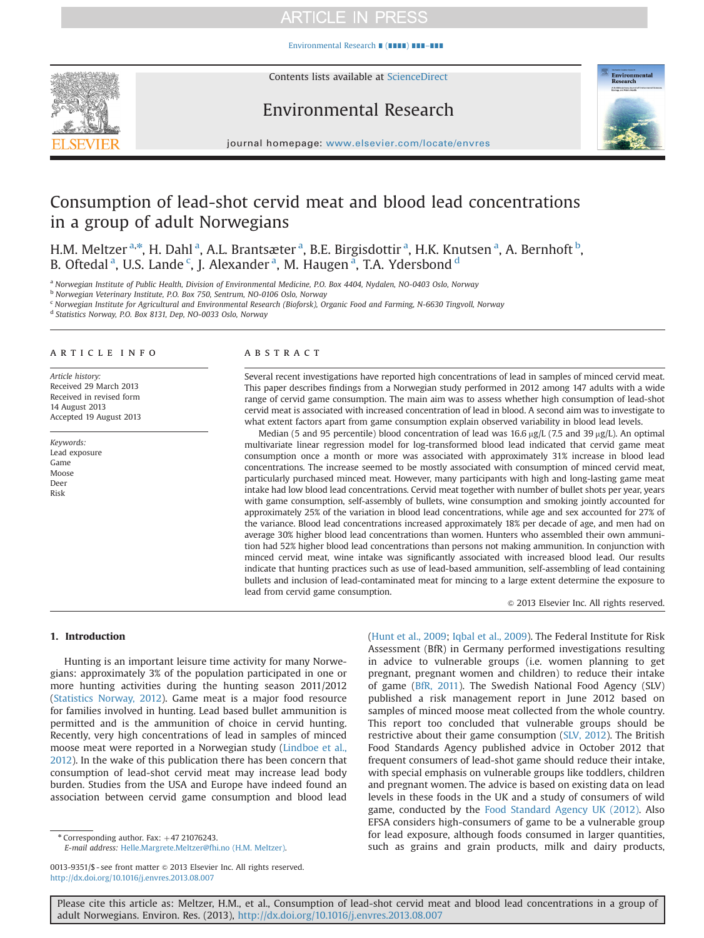[Environmental Research](http://dx.doi.org/10.1016/j.envres.2013.08.007) ∎ (∎∎∎∎) ∎∎∎–∎∎∎



Contents lists available at [ScienceDirect](www.sciencedirect.com/science/journal/00139351)

# Environmental Research



journal homepage: <www.elsevier.com/locate/envres>se $\mathcal{C}$ 

# Consumption of lead-shot cervid meat and blood lead concentrations in a group of adult Norwegians

H.M. Meltzer <sup>a,\*</sup>, H. Dahl <sup>a</sup>, A.L. Brantsæter <sup>a</sup>, B.E. Birgisdottir <sup>a</sup>, H.K. Knutsen <sup>a</sup>, A. Bernhoft <sup>b</sup>, B. Oftedal<sup>a</sup>, U.S. Lande<sup>c</sup>, J. Alexander<sup>a</sup>, M. Haugen<sup>a</sup>, T.A. Ydersbond<sup>d</sup>

<sup>a</sup> Norwegian Institute of Public Health, Division of Environmental Medicine, P.O. Box 4404, Nydalen, NO-0403 Oslo, Norway

<sup>b</sup> Norwegian Veterinary Institute, P.O. Box 750, Sentrum, NO-0106 Oslo, Norway

<sup>c</sup> Norwegian Institute for Agricultural and Environmental Research (Bioforsk), Organic Food and Farming, N-6630 Tingvoll, Norway

<sup>d</sup> Statistics Norway, P.O. Box 8131, Dep, NO-0033 Oslo, Norway

### article info

Article history: Received 29 March 2013 Received in revised form 14 August 2013 Accepted 19 August 2013

Keywords: Lead exposure Game Moose Deer Risk

## ABSTRACT

Several recent investigations have reported high concentrations of lead in samples of minced cervid meat. This paper describes findings from a Norwegian study performed in 2012 among 147 adults with a wide range of cervid game consumption. The main aim was to assess whether high consumption of lead-shot cervid meat is associated with increased concentration of lead in blood. A second aim was to investigate to what extent factors apart from game consumption explain observed variability in blood lead levels.

Median (5 and 95 percentile) blood concentration of lead was 16.6  $\mu$ g/L (7.5 and 39  $\mu$ g/L). An optimal multivariate linear regression model for log-transformed blood lead indicated that cervid game meat consumption once a month or more was associated with approximately 31% increase in blood lead concentrations. The increase seemed to be mostly associated with consumption of minced cervid meat, particularly purchased minced meat. However, many participants with high and long-lasting game meat intake had low blood lead concentrations. Cervid meat together with number of bullet shots per year, years with game consumption, self-assembly of bullets, wine consumption and smoking jointly accounted for approximately 25% of the variation in blood lead concentrations, while age and sex accounted for 27% of the variance. Blood lead concentrations increased approximately 18% per decade of age, and men had on average 30% higher blood lead concentrations than women. Hunters who assembled their own ammunition had 52% higher blood lead concentrations than persons not making ammunition. In conjunction with minced cervid meat, wine intake was significantly associated with increased blood lead. Our results indicate that hunting practices such as use of lead-based ammunition, self-assembling of lead containing bullets and inclusion of lead-contaminated meat for mincing to a large extent determine the exposure to lead from cervid game consumption.

 $\odot$  2013 Elsevier Inc. All rights reserved.

## 1. Introduction

Hunting is an important leisure time activity for many Norwegians: approximately 3% of the population participated in one or more hunting activities during the hunting season 2011/2012 ([Statistics Norway, 2012\)](#page-10-0). Game meat is a major food resource for families involved in hunting. Lead based bullet ammunition is permitted and is the ammunition of choice in cervid hunting. Recently, very high concentrations of lead in samples of minced moose meat were reported in a Norwegian study ([Lindboe et al.,](#page-10-0) [2012\)](#page-10-0). In the wake of this publication there has been concern that consumption of lead-shot cervid meat may increase lead body burden. Studies from the USA and Europe have indeed found an association between cervid game consumption and blood lead

 $*$  Corresponding author. Fax:  $+47$  21076243.

E-mail address: [Helle.Margrete.Meltzer@fhi.no \(H.M. Meltzer\)](mailto:Helle.Margrete.Meltzer@fhi.no).

([Hunt et al., 2009;](#page-10-0) [Iqbal et al., 2009](#page-10-0)). The Federal Institute for Risk Assessment (BfR) in Germany performed investigations resulting in advice to vulnerable groups (i.e. women planning to get pregnant, pregnant women and children) to reduce their intake of game [\(BfR, 2011](#page-10-0)). The Swedish National Food Agency (SLV) published a risk management report in June 2012 based on samples of minced moose meat collected from the whole country. This report too concluded that vulnerable groups should be restrictive about their game consumption ([SLV, 2012](#page-10-0)). The British Food Standards Agency published advice in October 2012 that frequent consumers of lead-shot game should reduce their intake, with special emphasis on vulnerable groups like toddlers, children and pregnant women. The advice is based on existing data on lead levels in these foods in the UK and a study of consumers of wild game, conducted by the [Food Standard Agency UK \(2012\).](#page-10-0) Also EFSA considers high-consumers of game to be a vulnerable group for lead exposure, although foods consumed in larger quantities, such as grains and grain products, milk and dairy products,

<sup>0013-9351/\$ -</sup> see front matter @ 2013 Elsevier Inc. All rights reserved. <http://dx.doi.org/10.1016/j.envres.2013.08.007>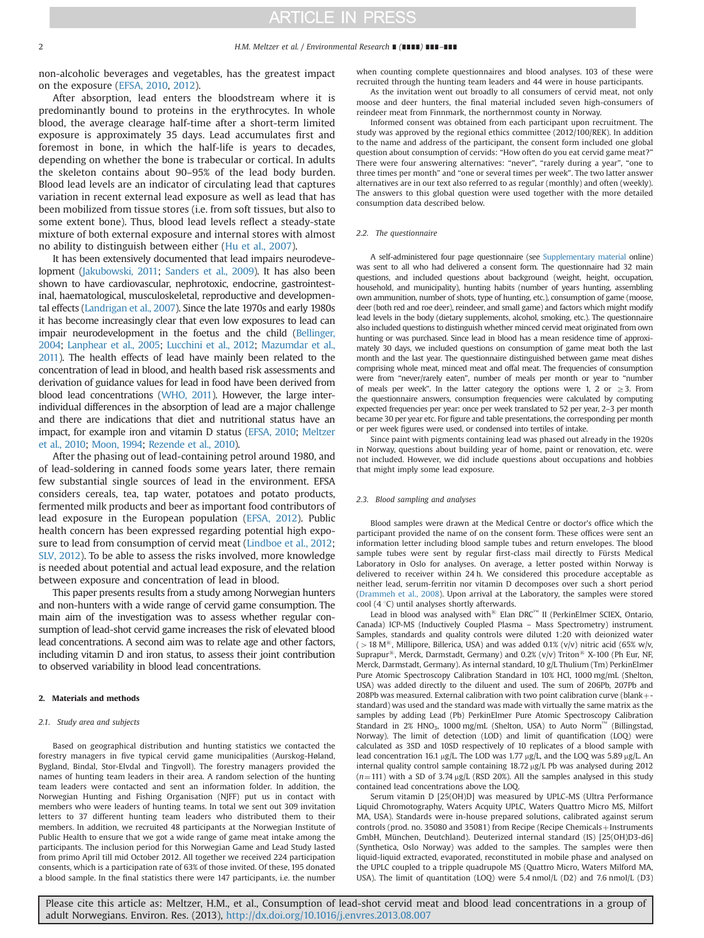non-alcoholic beverages and vegetables, has the greatest impact on the exposure ([EFSA, 2010](#page-10-0), [2012](#page-10-0)).

After absorption, lead enters the bloodstream where it is predominantly bound to proteins in the erythrocytes. In whole blood, the average clearage half-time after a short-term limited exposure is approximately 35 days. Lead accumulates first and foremost in bone, in which the half-life is years to decades, depending on whether the bone is trabecular or cortical. In adults the skeleton contains about 90–95% of the lead body burden. Blood lead levels are an indicator of circulating lead that captures variation in recent external lead exposure as well as lead that has been mobilized from tissue stores (i.e. from soft tissues, but also to some extent bone). Thus, blood lead levels reflect a steady-state mixture of both external exposure and internal stores with almost no ability to distinguish between either ([Hu et al., 2007\)](#page-10-0).

It has been extensively documented that lead impairs neurodevelopment [\(Jakubowski, 2011;](#page-10-0) [Sanders et al., 2009\)](#page-10-0). It has also been shown to have cardiovascular, nephrotoxic, endocrine, gastrointestinal, haematological, musculoskeletal, reproductive and developmental effects ([Landrigan et al., 2007](#page-10-0)). Since the late 1970s and early 1980s it has become increasingly clear that even low exposures to lead can impair neurodevelopment in the foetus and the child ([Bellinger,](#page-10-0) [2004](#page-10-0); [Lanphear et al., 2005](#page-10-0); [Lucchini et al., 2012](#page-10-0); [Mazumdar et al.,](#page-10-0) [2011\)](#page-10-0). The health effects of lead have mainly been related to the concentration of lead in blood, and health based risk assessments and derivation of guidance values for lead in food have been derived from blood lead concentrations ([WHO, 2011](#page-10-0)). However, the large interindividual differences in the absorption of lead are a major challenge and there are indications that diet and nutritional status have an impact, for example iron and vitamin D status [\(EFSA, 2010](#page-10-0); [Meltzer](#page-10-0) [et al., 2010](#page-10-0); [Moon, 1994](#page-10-0); [Rezende et al., 2010](#page-10-0)).

After the phasing out of lead-containing petrol around 1980, and of lead-soldering in canned foods some years later, there remain few substantial single sources of lead in the environment. EFSA considers cereals, tea, tap water, potatoes and potato products, fermented milk products and beer as important food contributors of lead exposure in the European population ([EFSA, 2012\)](#page-10-0). Public health concern has been expressed regarding potential high exposure to lead from consumption of cervid meat ([Lindboe et al., 2012;](#page-10-0) [SLV, 2012](#page-10-0)). To be able to assess the risks involved, more knowledge is needed about potential and actual lead exposure, and the relation between exposure and concentration of lead in blood.

This paper presents results from a study among Norwegian hunters and non-hunters with a wide range of cervid game consumption. The main aim of the investigation was to assess whether regular consumption of lead-shot cervid game increases the risk of elevated blood lead concentrations. A second aim was to relate age and other factors, including vitamin D and iron status, to assess their joint contribution to observed variability in blood lead concentrations.

### 2. Materials and methods

### 2.1. Study area and subjects

Based on geographical distribution and hunting statistics we contacted the forestry managers in five typical cervid game municipalities (Aurskog-Høland, Bygland, Bindal, Stor-Elvdal and Tingvoll). The forestry managers provided the names of hunting team leaders in their area. A random selection of the hunting team leaders were contacted and sent an information folder. In addition, the Norwegian Hunting and Fishing Organisation (NJFF) put us in contact with members who were leaders of hunting teams. In total we sent out 309 invitation letters to 37 different hunting team leaders who distributed them to their members. In addition, we recruited 48 participants at the Norwegian Institute of Public Health to ensure that we got a wide range of game meat intake among the participants. The inclusion period for this Norwegian Game and Lead Study lasted from primo April till mid October 2012. All together we received 224 participation consents, which is a participation rate of 63% of those invited. Of these, 195 donated a blood sample. In the final statistics there were 147 participants, i.e. the number

when counting complete questionnaires and blood analyses. 103 of these were recruited through the hunting team leaders and 44 were in house participants.

As the invitation went out broadly to all consumers of cervid meat, not only moose and deer hunters, the final material included seven high-consumers of reindeer meat from Finnmark, the northernmost county in Norway.

Informed consent was obtained from each participant upon recruitment. The study was approved by the regional ethics committee (2012/100/REK). In addition to the name and address of the participant, the consent form included one global question about consumption of cervids: "How often do you eat cervid game meat?" There were four answering alternatives: "never", "rarely during a year", "one to three times per month" and "one or several times per week". The two latter answer alternatives are in our text also referred to as regular (monthly) and often (weekly). The answers to this global question were used together with the more detailed consumption data described below.

### 2.2. The questionnaire

A self-administered four page questionnaire (see [Supplementary material](#page-10-0) online) was sent to all who had delivered a consent form. The questionnaire had 32 main questions, and included questions about background (weight, height, occupation, household, and municipality), hunting habits (number of years hunting, assembling own ammunition, number of shots, type of hunting, etc.), consumption of game (moose, deer (both red and roe deer), reindeer, and small game) and factors which might modify lead levels in the body (dietary supplements, alcohol, smoking, etc.). The questionnaire also included questions to distinguish whether minced cervid meat originated from own hunting or was purchased. Since lead in blood has a mean residence time of approximately 30 days, we included questions on consumption of game meat both the last month and the last year. The questionnaire distinguished between game meat dishes comprising whole meat, minced meat and offal meat. The frequencies of consumption were from "never/rarely eaten", number of meals per month or year to "number of meals per week". In the latter category the options were 1, 2 or  $\geq$  3. From the questionnaire answers, consumption frequencies were calculated by computing expected frequencies per year: once per week translated to 52 per year, 2–3 per month became 30 per year etc. For figure and table presentations, the corresponding per month or per week figures were used, or condensed into tertiles of intake.

Since paint with pigments containing lead was phased out already in the 1920s in Norway, questions about building year of home, paint or renovation, etc. were not included. However, we did include questions about occupations and hobbies that might imply some lead exposure.

### 2.3. Blood sampling and analyses

Blood samples were drawn at the Medical Centre or doctor's office which the participant provided the name of on the consent form. These offices were sent an information letter including blood sample tubes and return envelopes. The blood sample tubes were sent by regular first-class mail directly to Fürsts Medical Laboratory in Oslo for analyses. On average, a letter posted within Norway is delivered to receiver within 24 h. We considered this procedure acceptable as neither lead, serum-ferritin nor vitamin D decomposes over such a short period [\(Drammeh et al., 2008\)](#page-10-0). Upon arrival at the Laboratory, the samples were stored  $\text{cool}$  (4 °C) until analyses shortly afterwards.

Lead in blood was analysed with® Elan DRC™ II (PerkinElmer SCIEX, Ontario, Canada) ICP-MS (Inductively Coupled Plasma – Mass Spectrometry) instrument. Samples, standards and quality controls were diluted 1:20 with deionized water ( $>18$  M $^{\circledR}$ , Millipore, Billerica, USA) and was added 0.1% (v/v) nitric acid (65% w/v, Suprapur<sup>®</sup>, Merck, Darmstadt, Germany) and 0.2% (v/v) Triton<sup>®</sup> X-100 (Ph Eur, NF, Merck, Darmstadt, Germany). As internal standard, 10 g/L Thulium (Tm) PerkinElmer Pure Atomic Spectroscopy Calibration Standard in 10% HCl, 1000 mg/mL (Shelton, USA) was added directly to the diluent and used. The sum of 206Pb, 207Pb and 208Pb was measured. External calibration with two point calibration curve (blank $+$ standard) was used and the standard was made with virtually the same matrix as the samples by adding Lead (Pb) PerkinElmer Pure Atomic Spectroscopy Calibration Standard in 2% HNO<sub>3</sub>, 1000 mg/mL (Shelton, USA) to Auto Norm<sup>™</sup> (Billingstad, Norway). The limit of detection (LOD) and limit of quantification (LOQ) were calculated as 3SD and 10SD respectively of 10 replicates of a blood sample with lead concentration 16.1  $\mu$ g/L. The LOD was 1.77  $\mu$ g/L, and the LOQ was 5.89  $\mu$ g/L. An internal quality control sample containing  $18.72 \mu g/L$  Pb was analysed during 2012  $(n=111)$  with a SD of 3.74  $\mu$ g/L (RSD 20%). All the samples analysed in this study contained lead concentrations above the LOQ.

Serum vitamin D [25(OH)D] was measured by UPLC-MS (Ultra Performance Liquid Chromotography, Waters Acquity UPLC, Waters Quattro Micro MS, Milfort MA, USA). Standards were in-house prepared solutions, calibrated against serum controls (prod. no. 35080 and 35081) from Recipe (Recipe Chemicals + Instruments GmbH, München, Deutchland). Deuterized internal standard (IS) [25(OH)D3-d6] (Synthetica, Oslo Norway) was added to the samples. The samples were then liquid-liquid extracted, evaporated, reconstituted in mobile phase and analysed on the UPLC coupled to a tripple quadrupole MS (Quattro Micro, Waters Milford MA, USA). The limit of quantitation (LOQ) were 5.4 nmol/L (D2) and 7.6 nmol/L (D3)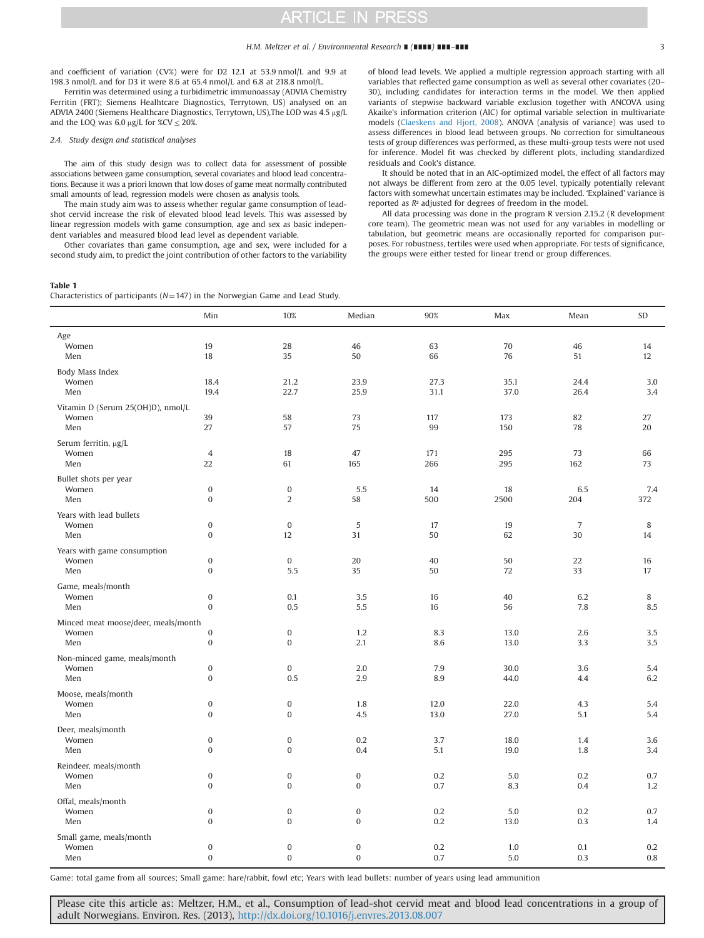### H.M. Meltzer et al. / Environmental Research ∎ (∎∎∎∎) ∎∎∎–∎∎∎ 3

<span id="page-2-0"></span>and coefficient of variation (CV%) were for D2 12.1 at 53.9 nmol/L and 9.9 at 198.3 nmol/L and for D3 it were 8.6 at 65.4 nmol/L and 6.8 at 218.8 nmol/L.

Ferritin was determined using a turbidimetric immunoassay (ADVIA Chemistry Ferritin (FRT); Siemens Healhtcare Diagnostics, Terrytown, US) analysed on an ADVIA 2400 (Siemens Healthcare Diagnostics, Terrytown, US), The LOD was 4.5 µg/L and the LOQ was 6.0  $\mu$ g/L for %CV  $\leq$  20%.

### 2.4. Study design and statistical analyses

The aim of this study design was to collect data for assessment of possible associations between game consumption, several covariates and blood lead concentrations. Because it was a priori known that low doses of game meat normally contributed small amounts of lead, regression models were chosen as analysis tools.

The main study aim was to assess whether regular game consumption of leadshot cervid increase the risk of elevated blood lead levels. This was assessed by linear regression models with game consumption, age and sex as basic independent variables and measured blood lead level as dependent variable.

Other covariates than game consumption, age and sex, were included for a second study aim, to predict the joint contribution of other factors to the variability of blood lead levels. We applied a multiple regression approach starting with all variables that reflected game consumption as well as several other covariates (20– 30), including candidates for interaction terms in the model. We then applied variants of stepwise backward variable exclusion together with ANCOVA using Akaike's information criterion (AIC) for optimal variable selection in multivariate models [\(Claeskens and Hjort, 2008](#page-10-0)). ANOVA (analysis of variance) was used to assess differences in blood lead between groups. No correction for simultaneous tests of group differences was performed, as these multi-group tests were not used for inference. Model fit was checked by different plots, including standardized residuals and Cook's distance.

It should be noted that in an AIC-optimized model, the effect of all factors may not always be different from zero at the 0.05 level, typically potentially relevant factors with somewhat uncertain estimates may be included. 'Explained' variance is reported as R² adjusted for degrees of freedom in the model.

All data processing was done in the program R version 2.15.2 (R development core team). The geometric mean was not used for any variables in modelling or tabulation, but geometric means are occasionally reported for comparison purposes. For robustness, tertiles were used when appropriate. For tests of significance, the groups were either tested for linear trend or group differences.

### Table 1

Characteristics of participants ( $N=147$ ) in the Norwegian Game and Lead Study.

|                                                     | Min                                  | 10%                              | Median                       | 90%          | Max          | Mean                 | SD         |
|-----------------------------------------------------|--------------------------------------|----------------------------------|------------------------------|--------------|--------------|----------------------|------------|
| Age<br>Women<br>Men                                 | 19<br>18                             | 28<br>35                         | 46<br>50                     | 63<br>66     | 70<br>76     | 46<br>51             | 14<br>12   |
| Body Mass Index<br>Women<br>Men                     | 18.4<br>19.4                         | 21.2<br>22.7                     | 23.9<br>25.9                 | 27.3<br>31.1 | 35.1<br>37.0 | 24.4<br>26.4         | 3.0<br>3.4 |
| Vitamin D (Serum 25(OH)D), nmol/L<br>Women<br>Men   | 39<br>27                             | 58<br>57                         | 73<br>75                     | 117<br>99    | 173<br>150   | 82<br>78             | 27<br>20   |
| Serum ferritin, µg/L<br>Women<br>Men                | $\overline{4}$<br>22                 | 18<br>61                         | 47<br>165                    | 171<br>266   | 295<br>295   | 73<br>162            | 66<br>73   |
| Bullet shots per year<br>Women<br>Men               | $\boldsymbol{0}$<br>$\mathbf{0}$     | $\bf{0}$<br>$\overline{2}$       | 5.5<br>58                    | 14<br>500    | 18<br>2500   | 6.5<br>204           | 7.4<br>372 |
| Years with lead bullets<br>Women<br>Men             | $\boldsymbol{0}$<br>$\boldsymbol{0}$ | $\boldsymbol{0}$<br>12           | 5<br>31                      | 17<br>50     | 19<br>62     | $\overline{7}$<br>30 | 8<br>14    |
| Years with game consumption<br>Women<br>Men         | $\boldsymbol{0}$<br>$\boldsymbol{0}$ | $\bf{0}$<br>5.5                  | 20<br>35                     | 40<br>50     | 50<br>72     | 22<br>33             | 16<br>17   |
| Game, meals/month<br>Women<br>Men                   | $\boldsymbol{0}$<br>$\boldsymbol{0}$ | 0.1<br>0.5                       | 3.5<br>5.5                   | 16<br>16     | 40<br>56     | 6.2<br>7.8           | 8<br>8.5   |
| Minced meat moose/deer, meals/month<br>Women<br>Men | $\boldsymbol{0}$<br>$\boldsymbol{0}$ | $\boldsymbol{0}$<br>$\bf{0}$     | 1.2<br>2.1                   | 8.3<br>8.6   | 13.0<br>13.0 | 2.6<br>3.3           | 3.5<br>3.5 |
| Non-minced game, meals/month<br>Women<br>Men        | $\boldsymbol{0}$<br>$\boldsymbol{0}$ | $\mathbf 0$<br>0.5               | 2.0<br>2.9                   | 7.9<br>8.9   | 30.0<br>44.0 | 3.6<br>4.4           | 5.4<br>6.2 |
| Moose, meals/month<br>Women<br>Men                  | $\boldsymbol{0}$<br>$\boldsymbol{0}$ | $\bf{0}$<br>$\boldsymbol{0}$     | 1.8<br>4.5                   | 12.0<br>13.0 | 22.0<br>27.0 | 4.3<br>5.1           | 5.4<br>5.4 |
| Deer, meals/month<br>Women<br>Men                   | $\bf{0}$<br>$\boldsymbol{0}$         | $\bf{0}$<br>$\bf{0}$             | 0.2<br>0.4                   | 3.7<br>5.1   | 18.0<br>19.0 | 1.4<br>1.8           | 3.6<br>3.4 |
| Reindeer, meals/month<br>Women<br>Men               | $\boldsymbol{0}$<br>$\boldsymbol{0}$ | $\boldsymbol{0}$<br>$\mathbf{0}$ | $\bf{0}$<br>$\overline{0}$   | 0.2<br>0.7   | 5.0<br>8.3   | 0.2<br>0.4           | 0.7<br>1.2 |
| Offal, meals/month<br>Women<br>Men                  | $\boldsymbol{0}$<br>$\mathbf{0}$     | $\bf{0}$<br>$\boldsymbol{0}$     | $\bf{0}$<br>$\bf{0}$         | 0.2<br>0.2   | 5.0<br>13.0  | 0.2<br>0.3           | 0.7<br>1.4 |
| Small game, meals/month<br>Women<br>Men             | $\boldsymbol{0}$<br>$\boldsymbol{0}$ | $\boldsymbol{0}$<br>$\mathbf{0}$ | $\bf{0}$<br>$\boldsymbol{0}$ | 0.2<br>0.7   | 1.0<br>5.0   | 0.1<br>0.3           | 0.2<br>0.8 |

Game: total game from all sources; Small game: hare/rabbit, fowl etc; Years with lead bullets: number of years using lead ammunition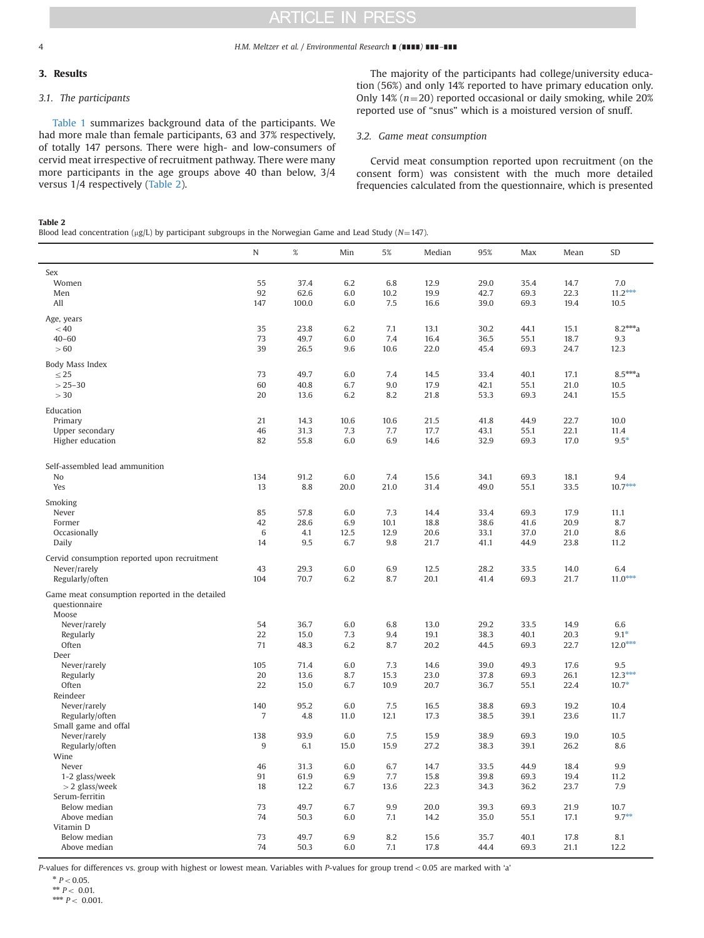## <span id="page-3-0"></span>4 H.M. Meltzer et al. / Environmental Research ∎ (∎∎∎∎) ∎∎∎–∎∎∎

## 3. Results

## 3.1. The participants

[Table 1](#page-2-0) summarizes background data of the participants. We had more male than female participants, 63 and 37% respectively, of totally 147 persons. There were high- and low-consumers of cervid meat irrespective of recruitment pathway. There were many more participants in the age groups above 40 than below, 3/4 versus 1/4 respectively (Table 2).

The majority of the participants had college/university education (56%) and only 14% reported to have primary education only. Only 14% ( $n=20$ ) reported occasional or daily smoking, while 20% reported use of "snus" which is a moistured version of snuff.

## 3.2. Game meat consumption

Cervid meat consumption reported upon recruitment (on the consent form) was consistent with the much more detailed frequencies calculated from the questionnaire, which is presented

## Table 2

Blood lead concentration ( $\mu$ g/L) by participant subgroups in the Norwegian Game and Lead Study (N=147).

|                                                | N              | $\%$  | Min  | 5%   | Median | 95%  | Max  | Mean | SD        |
|------------------------------------------------|----------------|-------|------|------|--------|------|------|------|-----------|
| Sex                                            |                |       |      |      |        |      |      |      |           |
| Women                                          | 55             | 37.4  | 6.2  | 6.8  | 12.9   | 29.0 | 35.4 | 14.7 | 7.0       |
| Men                                            | 92             | 62.6  | 6.0  | 10.2 | 19.9   | 42.7 | 69.3 | 22.3 | $11.2***$ |
| All                                            | 147            | 100.0 | 6.0  | 7.5  | 16.6   | 39.0 | 69.3 | 19.4 | 10.5      |
| Age, years                                     |                |       |      |      |        |      |      |      |           |
| < 40                                           | 35             | 23.8  | 6.2  | 7.1  | 13.1   | 30.2 | 44.1 | 15.1 | $8.2***a$ |
| $40 - 60$                                      | 73             | 49.7  | 6.0  | 7.4  | 16.4   | 36.5 | 55.1 | 18.7 | 9.3       |
| >60                                            | 39             | 26.5  | 9.6  | 10.6 | 22.0   | 45.4 | 69.3 | 24.7 | 12.3      |
| Body Mass Index                                |                |       |      |      |        |      |      |      |           |
| $\leq$ 25                                      | 73             | 49.7  | 6.0  | 7.4  | 14.5   | 33.4 | 40.1 | 17.1 | $8.5***a$ |
| $> 25 - 30$                                    | 60             | 40.8  | 6.7  | 9.0  | 17.9   | 42.1 | 55.1 | 21.0 | 10.5      |
| >30                                            | 20             | 13.6  | 6.2  | 8.2  | 21.8   | 53.3 | 69.3 | 24.1 | 15.5      |
| Education                                      |                |       |      |      |        |      |      |      |           |
| Primary                                        | 21             | 14.3  | 10.6 | 10.6 | 21.5   | 41.8 | 44.9 | 22.7 | 10.0      |
| Upper secondary                                | 46             | 31.3  | 7.3  | 7.7  | 17.7   | 43.1 | 55.1 | 22.1 | 11.4      |
| Higher education                               | 82             | 55.8  | 6.0  | 6.9  | 14.6   | 32.9 | 69.3 | 17.0 | $9.5*$    |
| Self-assembled lead ammunition                 |                |       |      |      |        |      |      |      |           |
| N <sub>0</sub>                                 | 134            | 91.2  | 6.0  | 7.4  | 15.6   | 34.1 | 69.3 | 18.1 | 9.4       |
| Yes                                            | 13             | 8.8   | 20.0 | 21.0 | 31.4   | 49.0 | 55.1 | 33.5 | $10.7***$ |
| Smoking                                        |                |       |      |      |        |      |      |      |           |
| Never                                          | 85             | 57.8  | 6.0  | 7.3  | 14.4   | 33.4 | 69.3 | 17.9 | 11.1      |
| Former                                         | 42             | 28.6  | 6.9  | 10.1 | 18.8   | 38.6 | 41.6 | 20.9 | 8.7       |
| Occasionally                                   | 6              | 4.1   | 12.5 | 12.9 | 20.6   | 33.1 | 37.0 | 21.0 | 8.6       |
| Daily                                          | 14             | 9.5   | 6.7  | 9.8  | 21.7   | 41.1 | 44.9 | 23.8 | 11.2      |
| Cervid consumption reported upon recruitment   |                |       |      |      |        |      |      |      |           |
| Never/rarely                                   | 43             | 29.3  | 6.0  | 6.9  | 12.5   | 28.2 | 33.5 | 14.0 | 6.4       |
| Regularly/often                                | 104            | 70.7  | 6.2  | 8.7  | 20.1   | 41.4 | 69.3 | 21.7 | $11.0***$ |
| Game meat consumption reported in the detailed |                |       |      |      |        |      |      |      |           |
| questionnaire                                  |                |       |      |      |        |      |      |      |           |
| Moose                                          |                |       |      |      |        |      |      |      |           |
| Never/rarely                                   | 54             | 36.7  | 6.0  | 6.8  | 13.0   | 29.2 | 33.5 | 14.9 | 6.6       |
| Regularly                                      | 22             | 15.0  | 7.3  | 9.4  | 19.1   | 38.3 | 40.1 | 20.3 | $9.1*$    |
| Often                                          | 71             | 48.3  | 6.2  | 8.7  | 20.2   | 44.5 | 69.3 | 22.7 | $12.0***$ |
| Deer                                           |                |       |      |      |        |      |      |      |           |
| Never/rarely                                   | 105            | 71.4  | 6.0  | 7.3  | 14.6   | 39.0 | 49.3 | 17.6 | 9.5       |
| Regularly                                      | 20             | 13.6  | 8.7  | 15.3 | 23.0   | 37.8 | 69.3 | 26.1 | $12.3***$ |
| Often                                          | 22             | 15.0  | 6.7  | 10.9 | 20.7   | 36.7 | 55.1 | 22.4 | $10.7*$   |
| Reindeer                                       |                |       |      |      |        |      |      |      |           |
| Never/rarely                                   | 140            | 95.2  | 6.0  | 7.5  | 16.5   | 38.8 | 69.3 | 19.2 | 10.4      |
| Regularly/often                                | $\overline{7}$ | 4.8   | 11.0 | 12.1 | 17.3   | 38.5 | 39.1 | 23.6 | 11.7      |
| Small game and offal                           |                |       |      |      |        |      |      |      |           |
| Never/rarely                                   | 138            | 93.9  | 6.0  | 7.5  | 15.9   | 38.9 | 69.3 | 19.0 | 10.5      |
| Regularly/often                                | 9              | 6.1   | 15.0 | 15.9 | 27.2   | 38.3 | 39.1 | 26.2 | 8.6       |
| Wine                                           |                |       |      |      |        |      |      |      |           |
| Never                                          | 46             | 31.3  | 6.0  | 6.7  | 14.7   | 33.5 | 44.9 | 18.4 | 9.9       |
| 1-2 glass/week                                 | 91             | 61.9  | 6.9  | 7.7  | 15.8   | 39.8 | 69.3 | 19.4 | 11.2      |
| $>$ 2 glass/week                               | 18             | 12.2  | 6.7  | 13.6 | 22.3   | 34.3 | 36.2 | 23.7 | 7.9       |
| Serum-ferritin                                 |                |       |      |      |        |      |      |      |           |
| Below median                                   | 73             | 49.7  | 6.7  | 9.9  | 20.0   | 39.3 | 69.3 | 21.9 | 10.7      |
| Above median<br>Vitamin D                      | 74             | 50.3  | 6.0  | 7.1  | 14.2   | 35.0 | 55.1 | 17.1 | $9.7***$  |
| Below median                                   | 73             | 49.7  | 6.9  | 8.2  | 15.6   | 35.7 | 40.1 | 17.8 | 8.1       |
| Above median                                   | 74             | 50.3  | 6.0  | 7.1  | 17.8   | 44.4 | 69.3 | 21.1 | 12.2      |
|                                                |                |       |      |      |        |      |      |      |           |

P-values for differences vs. group with highest or lowest mean. Variables with P-values for group trend < 0.05 are marked with 'a'

 $* P < 0.05.$ 

\*\*  $P < 0.01$ .

\*\*\*  $P < 0.001$ .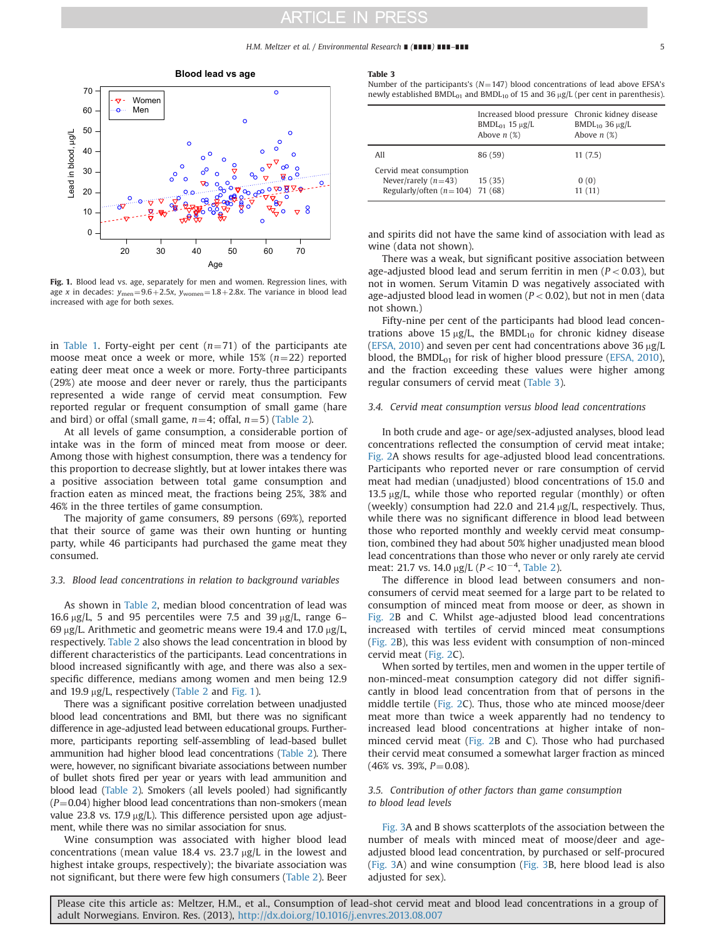### H.M. Meltzer et al. / Environmental Research ∎ (∎∎∎∎) ∎∎∎–∎∎∎ 5

<span id="page-4-0"></span>



in [Table 1.](#page-2-0) Forty-eight per cent  $(n=71)$  of the participants ate moose meat once a week or more, while 15%  $(n=22)$  reported eating deer meat once a week or more. Forty-three participants (29%) ate moose and deer never or rarely, thus the participants represented a wide range of cervid meat consumption. Few reported regular or frequent consumption of small game (hare and bird) or offal (small game,  $n=4$ ; offal,  $n=5$ ) [\(Table 2\)](#page-3-0).

At all levels of game consumption, a considerable portion of intake was in the form of minced meat from moose or deer. Among those with highest consumption, there was a tendency for this proportion to decrease slightly, but at lower intakes there was a positive association between total game consumption and fraction eaten as minced meat, the fractions being 25%, 38% and 46% in the three tertiles of game consumption.

The majority of game consumers, 89 persons (69%), reported that their source of game was their own hunting or hunting party, while 46 participants had purchased the game meat they consumed.

### 3.3. Blood lead concentrations in relation to background variables

As shown in [Table 2](#page-3-0), median blood concentration of lead was 16.6  $\mu$ g/L, 5 and 95 percentiles were 7.5 and 39  $\mu$ g/L, range 6– 69  $\mu$ g/L. Arithmetic and geometric means were 19.4 and 17.0  $\mu$ g/L, respectively. [Table 2](#page-3-0) also shows the lead concentration in blood by different characteristics of the participants. Lead concentrations in blood increased significantly with age, and there was also a sexspecific difference, medians among women and men being 12.9 and 19.9  $\mu$ g/L, respectively ([Table 2](#page-3-0) and Fig. 1).

There was a significant positive correlation between unadjusted blood lead concentrations and BMI, but there was no significant difference in age-adjusted lead between educational groups. Furthermore, participants reporting self-assembling of lead-based bullet ammunition had higher blood lead concentrations ([Table 2\)](#page-3-0). There were, however, no significant bivariate associations between number of bullet shots fired per year or years with lead ammunition and blood lead [\(Table 2\)](#page-3-0). Smokers (all levels pooled) had significantly  $(P=0.04)$  higher blood lead concentrations than non-smokers (mean value 23.8 vs. 17.9  $\mu$ g/L). This difference persisted upon age adjustment, while there was no similar association for snus.

Wine consumption was associated with higher blood lead concentrations (mean value 18.4 vs. 23.7  $\mu$ g/L in the lowest and highest intake groups, respectively); the bivariate association was not significant, but there were few high consumers [\(Table 2](#page-3-0)). Beer

#### Table 3

Number of the participants's  $(N=147)$  blood concentrations of lead above EFSA's newly established BMDL<sub>01</sub> and BMDL<sub>10</sub> of 15 and 36  $\mu$ g/L (per cent in parenthesis).

|                                                                                       | Increased blood pressure Chronic kidney disease<br>$BMDL_{01}$ 15 µg/L<br>Above $n$ $(\%)$ | BMDL $_{10}$ 36 $\mu$ g/L<br>Above $n$ (%) |  |  |
|---------------------------------------------------------------------------------------|--------------------------------------------------------------------------------------------|--------------------------------------------|--|--|
| All                                                                                   | 86 (59)                                                                                    | 11(7.5)                                    |  |  |
| Cervid meat consumption<br>Never/rarely $(n=43)$<br>Regularly/often $(n=104)$ 71 (68) | 15(35)                                                                                     | 0(0)<br>11(11)                             |  |  |

and spirits did not have the same kind of association with lead as wine (data not shown).

There was a weak, but significant positive association between age-adjusted blood lead and serum ferritin in men ( $P < 0.03$ ), but not in women. Serum Vitamin D was negatively associated with age-adjusted blood lead in women ( $P < 0.02$ ), but not in men (data not shown.)

Fifty-nine per cent of the participants had blood lead concentrations above 15  $\mu$ g/L, the BMDL<sub>10</sub> for chronic kidney disease ([EFSA, 2010\)](#page-10-0) and seven per cent had concentrations above 36  $\mu$ g/L blood, the BMDL $_{01}$  for risk of higher blood pressure [\(EFSA, 2010\)](#page-10-0), and the fraction exceeding these values were higher among regular consumers of cervid meat (Table 3).

### 3.4. Cervid meat consumption versus blood lead concentrations

In both crude and age- or age/sex-adjusted analyses, blood lead concentrations reflected the consumption of cervid meat intake; [Fig. 2](#page-5-0)A shows results for age-adjusted blood lead concentrations. Participants who reported never or rare consumption of cervid meat had median (unadjusted) blood concentrations of 15.0 and 13.5  $\mu$ g/L, while those who reported regular (monthly) or often (weekly) consumption had 22.0 and 21.4  $\mu$ g/L, respectively. Thus, while there was no significant difference in blood lead between those who reported monthly and weekly cervid meat consumption, combined they had about 50% higher unadjusted mean blood lead concentrations than those who never or only rarely ate cervid meat: 21.7 vs. 14.0  $\mu$ g/L (P < 10<sup>-4</sup>, [Table 2\)](#page-3-0).

The difference in blood lead between consumers and nonconsumers of cervid meat seemed for a large part to be related to consumption of minced meat from moose or deer, as shown in [Fig. 2](#page-5-0)B and C. Whilst age-adjusted blood lead concentrations increased with tertiles of cervid minced meat consumptions ([Fig. 2](#page-5-0)B), this was less evident with consumption of non-minced cervid meat ([Fig. 2](#page-5-0)C).

When sorted by tertiles, men and women in the upper tertile of non-minced-meat consumption category did not differ significantly in blood lead concentration from that of persons in the middle tertile [\(Fig. 2](#page-5-0)C). Thus, those who ate minced moose/deer meat more than twice a week apparently had no tendency to increased lead blood concentrations at higher intake of nonminced cervid meat ([Fig. 2](#page-5-0)B and C). Those who had purchased their cervid meat consumed a somewhat larger fraction as minced  $(46\% \text{ vs. } 39\%, P=0.08).$ 

## 3.5. Contribution of other factors than game consumption to blood lead levels

[Fig. 3](#page-5-0)A and B shows scatterplots of the association between the number of meals with minced meat of moose/deer and ageadjusted blood lead concentration, by purchased or self-procured ([Fig. 3A](#page-5-0)) and wine consumption ([Fig. 3B](#page-5-0), here blood lead is also adjusted for sex).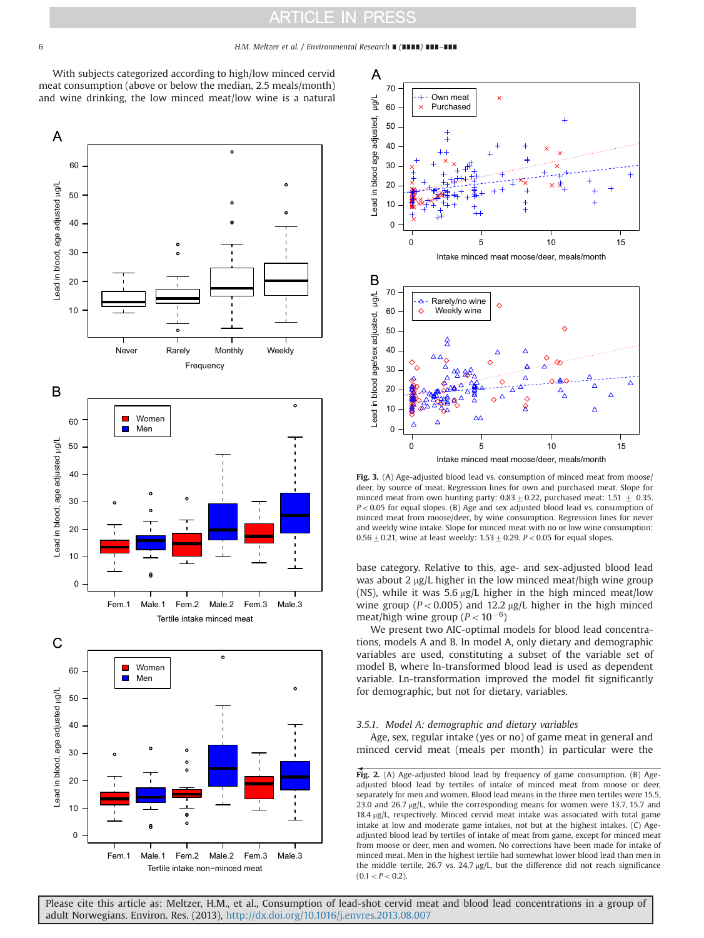<span id="page-5-0"></span>With subjects categorized according to high/low minced cervid meat consumption (above or below the median, 2.5 meals/month) and wine drinking, the low minced meat/low wine is a natural





Fig. 3. (A) Age-adjusted blood lead vs. consumption of minced meat from moose/ deer, by source of meat. Regression lines for own and purchased meat. Slope for minced meat from own hunting party: 0.83  $\pm$  0.22, purchased meat: 1.51  $\pm$  0.35.  $P < 0.05$  for equal slopes. (B) Age and sex adjusted blood lead vs. consumption of minced meat from moose/deer, by wine consumption. Regression lines for never and weekly wine intake. Slope for minced meat with no or low wine consumption:  $0.56\pm0.21$ , wine at least weekly:  $1.53\pm0.29$ . P < 0.05 for equal slopes.

base category. Relative to this, age- and sex-adjusted blood lead was about 2  $\mu$ g/L higher in the low minced meat/high wine group (NS), while it was 5.6  $\mu$ g/L higher in the high minced meat/low wine group ( $P < 0.005$ ) and 12.2 µg/L higher in the high minced meat/high wine group ( $P < 10^{-6}$ )

We present two AIC-optimal models for blood lead concentrations, models A and B. In model A, only dietary and demographic variables are used, constituting a subset of the variable set of model B, where ln-transformed blood lead is used as dependent variable. Ln-transformation improved the model fit significantly for demographic, but not for dietary, variables.

### 3.5.1. Model A: demographic and dietary variables

Age, sex, regular intake (yes or no) of game meat in general and minced cervid meat (meals per month) in particular were the

Fig. 2. (A) Age-adjusted blood lead by frequency of game consumption. (B) Ageadjusted blood lead by tertiles of intake of minced meat from moose or deer, separately for men and women. Blood lead means in the three men tertiles were 15.5, 23.0 and 26.7  $\mu$ g/L, while the corresponding means for women were 13.7, 15.7 and  $18.4 \,\mathrm{\upmu g/L}$ , respectively. Minced cervid meat intake was associated with total game intake at low and moderate game intakes, not but at the highest intakes. (C) Ageadjusted blood lead by tertiles of intake of meat from game, except for minced meat from moose or deer, men and women. No corrections have been made for intake of minced meat. Men in the highest tertile had somewhat lower blood lead than men in the middle tertile, 26.7 vs. 24.7  $\mu$ g/L, but the difference did not reach significance  $(0.1 < P < 0.2)$ .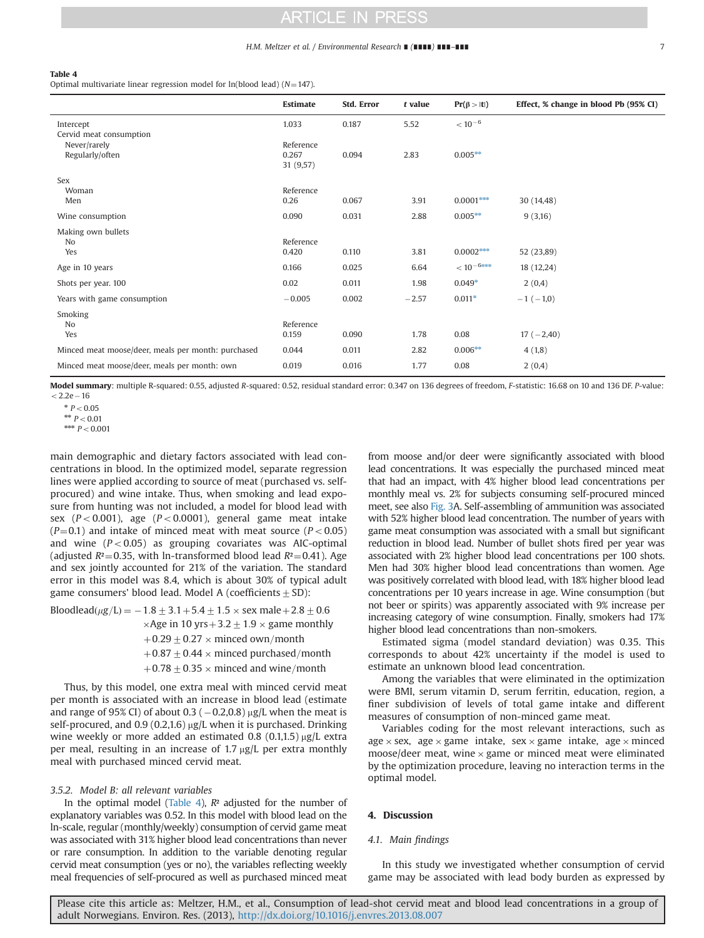### H.M. Meltzer et al. / Environmental Research ∎ (∎∎∎∎) ∎∎∎–∎∎∎ 7

### <span id="page-6-0"></span>Table 4

Optimal multivariate linear regression model for  $ln(blood lead)$  ( $N=147$ ).

|                                                            | Estimate                        | Std. Error | t value | $Pr(\beta >  t )$   | Effect, % change in blood Pb (95% CI) |
|------------------------------------------------------------|---------------------------------|------------|---------|---------------------|---------------------------------------|
| Intercept                                                  | 1.033                           | 0.187      | 5.52    | $< 10^{-6}$         |                                       |
| Cervid meat consumption<br>Never/rarely<br>Regularly/often | Reference<br>0.267<br>31 (9,57) | 0.094      | 2.83    | $0.005***$          |                                       |
| Sex                                                        |                                 |            |         |                     |                                       |
| Woman<br>Men                                               | Reference<br>0.26               | 0.067      | 3.91    | $0.0001***$         | 30 (14,48)                            |
| Wine consumption                                           | 0.090                           | 0.031      | 2.88    | $0.005***$          | 9(3,16)                               |
| Making own bullets<br>N <sub>0</sub>                       | Reference                       |            |         |                     |                                       |
| Yes                                                        | 0.420                           | 0.110      | 3.81    | $0.0002***$         | 52 (23,89)                            |
| Age in 10 years                                            | 0.166                           | 0.025      | 6.64    | $< 10^{-6\rm{***}}$ | 18 (12,24)                            |
| Shots per year, 100                                        | 0.02                            | 0.011      | 1.98    | $0.049*$            | 2(0,4)                                |
| Years with game consumption                                | $-0.005$                        | 0.002      | $-2.57$ | $0.011*$            | $-1$ ( $-1,0$ )                       |
| Smoking<br>N <sub>0</sub>                                  | Reference                       |            |         |                     |                                       |
| Yes                                                        | 0.159                           | 0.090      | 1.78    | 0.08                | $17(-2,40)$                           |
| Minced meat moose/deer, meals per month: purchased         | 0.044                           | 0.011      | 2.82    | $0.006**$           | 4(1,8)                                |
| Minced meat moose/deer, meals per month: own               | 0.019                           | 0.016      | 1.77    | 0.08                | 2(0,4)                                |

Model summary: multiple R-squared: 0.55, adjusted R-squared: 0.52, residual standard error: 0.347 on 136 degrees of freedom, F-statistic: 16.68 on 10 and 136 DF. P-value:  $< 2.2e - 16$ 

\*\*  $P < 0.01$ 

\*\*\*  $P < 0.001$ 

main demographic and dietary factors associated with lead concentrations in blood. In the optimized model, separate regression lines were applied according to source of meat (purchased vs. selfprocured) and wine intake. Thus, when smoking and lead exposure from hunting was not included, a model for blood lead with sex  $(P < 0.001)$ , age  $(P < 0.0001)$ , general game meat intake  $(P=0.1)$  and intake of minced meat with meat source  $(P<0.05)$ and wine  $(P < 0.05)$  as grouping covariates was AIC-optimal (adjusted  $R^2$ =0.35, with ln-transformed blood lead  $R^2$ =0.41). Age and sex jointly accounted for 21% of the variation. The standard error in this model was 8.4, which is about 30% of typical adult game consumers' blood lead. Model A (coefficients  $\pm$  SD):

Bloodlead( $\mu$ g/L) =  $-1.8 \pm 3.1 + 5.4 \pm 1.5 \times$  sex male + 2.8  $\pm$  0.6  $\times$ Age in 10 yrs + 3.2  $\pm$  1.9  $\times$  game monthly +0.29  $\pm$  0.27  $\times$  minced own/month  $+0.87\pm0.44$   $\times$  minced purchased/month  $+0.78\pm0.35$   $\times$  minced and wine/month

Thus, by this model, one extra meal with minced cervid meat per month is associated with an increase in blood lead (estimate and range of  $95\%$  CI) of about 0.3 (  $-0.2,0.8$ )  $\mu$ g/L when the meat is self-procured, and 0.9 (0.2,1.6)  $\mu$ g/L when it is purchased. Drinking wine weekly or more added an estimated 0.8 (0.1,1.5)  $\mu$ g/L extra per meal, resulting in an increase of  $1.7 \mu g/L$  per extra monthly meal with purchased minced cervid meat.

### 3.5.2. Model B: all relevant variables

In the optimal model (Table 4),  $R<sup>2</sup>$  adjusted for the number of explanatory variables was 0.52. In this model with blood lead on the ln-scale, regular (monthly/weekly) consumption of cervid game meat was associated with 31% higher blood lead concentrations than never or rare consumption. In addition to the variable denoting regular cervid meat consumption (yes or no), the variables reflecting weekly meal frequencies of self-procured as well as purchased minced meat from moose and/or deer were significantly associated with blood lead concentrations. It was especially the purchased minced meat that had an impact, with 4% higher blood lead concentrations per monthly meal vs. 2% for subjects consuming self-procured minced meet, see also [Fig. 3A](#page-5-0). Self-assembling of ammunition was associated with 52% higher blood lead concentration. The number of years with game meat consumption was associated with a small but significant reduction in blood lead. Number of bullet shots fired per year was associated with 2% higher blood lead concentrations per 100 shots. Men had 30% higher blood lead concentrations than women. Age was positively correlated with blood lead, with 18% higher blood lead concentrations per 10 years increase in age. Wine consumption (but not beer or spirits) was apparently associated with 9% increase per increasing category of wine consumption. Finally, smokers had 17% higher blood lead concentrations than non-smokers.

Estimated sigma (model standard deviation) was 0.35. This corresponds to about 42% uncertainty if the model is used to estimate an unknown blood lead concentration.

Among the variables that were eliminated in the optimization were BMI, serum vitamin D, serum ferritin, education, region, a finer subdivision of levels of total game intake and different measures of consumption of non-minced game meat.

Variables coding for the most relevant interactions, such as age  $\times$  sex, age  $\times$  game intake, sex  $\times$  game intake, age  $\times$  minced moose/deer meat, wine  $\times$  game or minced meat were eliminated by the optimization procedure, leaving no interaction terms in the optimal model.

### 4. Discussion

### 4.1. Main findings

In this study we investigated whether consumption of cervid game may be associated with lead body burden as expressed by

 $P < 0.05$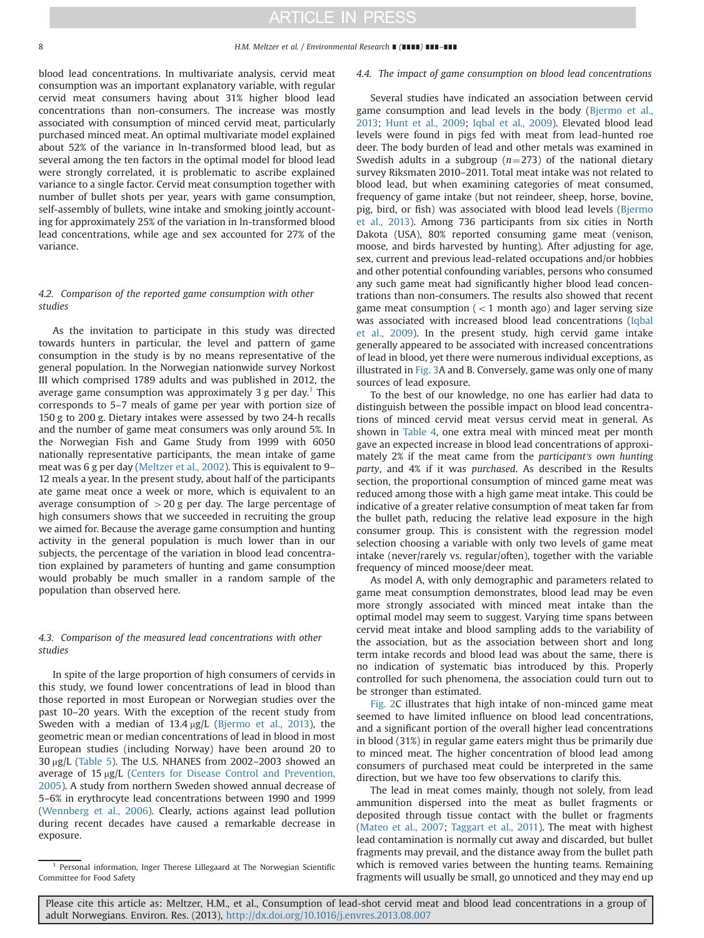### 8 H.M. Meltzer et al. / Environmental Research ∎ (∎∎∎∎) ∎∎∎–∎∎∎

blood lead concentrations. In multivariate analysis, cervid meat consumption was an important explanatory variable, with regular cervid meat consumers having about 31% higher blood lead concentrations than non-consumers. The increase was mostly associated with consumption of minced cervid meat, particularly purchased minced meat. An optimal multivariate model explained about 52% of the variance in ln-transformed blood lead, but as several among the ten factors in the optimal model for blood lead were strongly correlated, it is problematic to ascribe explained variance to a single factor. Cervid meat consumption together with number of bullet shots per year, years with game consumption, self-assembly of bullets, wine intake and smoking jointly accounting for approximately 25% of the variation in ln-transformed blood lead concentrations, while age and sex accounted for 27% of the variance.

## 4.2. Comparison of the reported game consumption with other studies

As the invitation to participate in this study was directed towards hunters in particular, the level and pattern of game consumption in the study is by no means representative of the general population. In the Norwegian nationwide survey Norkost III which comprised 1789 adults and was published in 2012, the average game consumption was approximately 3 g per day.<sup>1</sup> This corresponds to 5–7 meals of game per year with portion size of 150 g to 200 g. Dietary intakes were assessed by two 24-h recalls and the number of game meat consumers was only around 5%. In the Norwegian Fish and Game Study from 1999 with 6050 nationally representative participants, the mean intake of game meat was 6 g per day ([Meltzer et al., 2002](#page-10-0)). This is equivalent to 9– 12 meals a year. In the present study, about half of the participants ate game meat once a week or more, which is equivalent to an average consumption of  $>$  20 g per day. The large percentage of high consumers shows that we succeeded in recruiting the group we aimed for. Because the average game consumption and hunting activity in the general population is much lower than in our subjects, the percentage of the variation in blood lead concentration explained by parameters of hunting and game consumption would probably be much smaller in a random sample of the population than observed here.

## 4.3. Comparison of the measured lead concentrations with other studies

In spite of the large proportion of high consumers of cervids in this study, we found lower concentrations of lead in blood than those reported in most European or Norwegian studies over the past 10–20 years. With the exception of the recent study from Sweden with a median of  $13.4 \mu g/L$  ([Bjermo et al., 2013\)](#page-10-0), the geometric mean or median concentrations of lead in blood in most European studies (including Norway) have been around 20 to  $30 \mu g/L$  ([Table 5\)](#page-8-0). The U.S. NHANES from 2002–2003 showed an average of  $15 \mu g/L$  [\(Centers for Disease Control and Prevention,](#page-10-0) [2005\)](#page-10-0). A study from northern Sweden showed annual decrease of 5–6% in erythrocyte lead concentrations between 1990 and 1999 ([Wennberg et al., 2006](#page-10-0)). Clearly, actions against lead pollution during recent decades have caused a remarkable decrease in exposure

### 4.4. The impact of game consumption on blood lead concentrations

Several studies have indicated an association between cervid game consumption and lead levels in the body [\(Bjermo et al.,](#page-10-0) [2013;](#page-10-0) [Hunt et al., 2009;](#page-10-0) [Iqbal et al., 2009](#page-10-0)). Elevated blood lead levels were found in pigs fed with meat from lead-hunted roe deer. The body burden of lead and other metals was examined in Swedish adults in a subgroup ( $n=273$ ) of the national dietary survey Riksmaten 2010–2011. Total meat intake was not related to blood lead, but when examining categories of meat consumed, frequency of game intake (but not reindeer, sheep, horse, bovine, pig, bird, or fish) was associated with blood lead levels [\(Bjermo](#page-10-0) [et al., 2013\)](#page-10-0). Among 736 participants from six cities in North Dakota (USA), 80% reported consuming game meat (venison, moose, and birds harvested by hunting). After adjusting for age, sex, current and previous lead-related occupations and/or hobbies and other potential confounding variables, persons who consumed any such game meat had significantly higher blood lead concentrations than non-consumers. The results also showed that recent game meat consumption  $(< 1$  month ago) and lager serving size was associated with increased blood lead concentrations ([Iqbal](#page-10-0) [et al., 2009](#page-10-0)). In the present study, high cervid game intake generally appeared to be associated with increased concentrations of lead in blood, yet there were numerous individual exceptions, as illustrated in [Fig. 3](#page-5-0)A and B. Conversely, game was only one of many sources of lead exposure.

To the best of our knowledge, no one has earlier had data to distinguish between the possible impact on blood lead concentrations of minced cervid meat versus cervid meat in general. As shown in [Table 4](#page-6-0), one extra meal with minced meat per month gave an expected increase in blood lead concentrations of approximately 2% if the meat came from the participant's own hunting party, and 4% if it was purchased. As described in the Results section, the proportional consumption of minced game meat was reduced among those with a high game meat intake. This could be indicative of a greater relative consumption of meat taken far from the bullet path, reducing the relative lead exposure in the high consumer group. This is consistent with the regression model selection choosing a variable with only two levels of game meat intake (never/rarely vs. regular/often), together with the variable frequency of minced moose/deer meat.

As model A, with only demographic and parameters related to game meat consumption demonstrates, blood lead may be even more strongly associated with minced meat intake than the optimal model may seem to suggest. Varying time spans between cervid meat intake and blood sampling adds to the variability of the association, but as the association between short and long term intake records and blood lead was about the same, there is no indication of systematic bias introduced by this. Properly controlled for such phenomena, the association could turn out to be stronger than estimated.

[Fig. 2C](#page-5-0) illustrates that high intake of non-minced game meat seemed to have limited influence on blood lead concentrations, and a significant portion of the overall higher lead concentrations in blood (31%) in regular game eaters might thus be primarily due to minced meat. The higher concentration of blood lead among consumers of purchased meat could be interpreted in the same direction, but we have too few observations to clarify this.

The lead in meat comes mainly, though not solely, from lead ammunition dispersed into the meat as bullet fragments or deposited through tissue contact with the bullet or fragments ([Mateo et al., 2007;](#page-10-0) [Taggart et al., 2011\)](#page-10-0). The meat with highest lead contamination is normally cut away and discarded, but bullet fragments may prevail, and the distance away from the bullet path which is removed varies between the hunting teams. Remaining fragments will usually be small, go unnoticed and they may end up

<sup>1</sup> Personal information, Inger Therese Lillegaard at The Norwegian Scientific Committee for Food Safety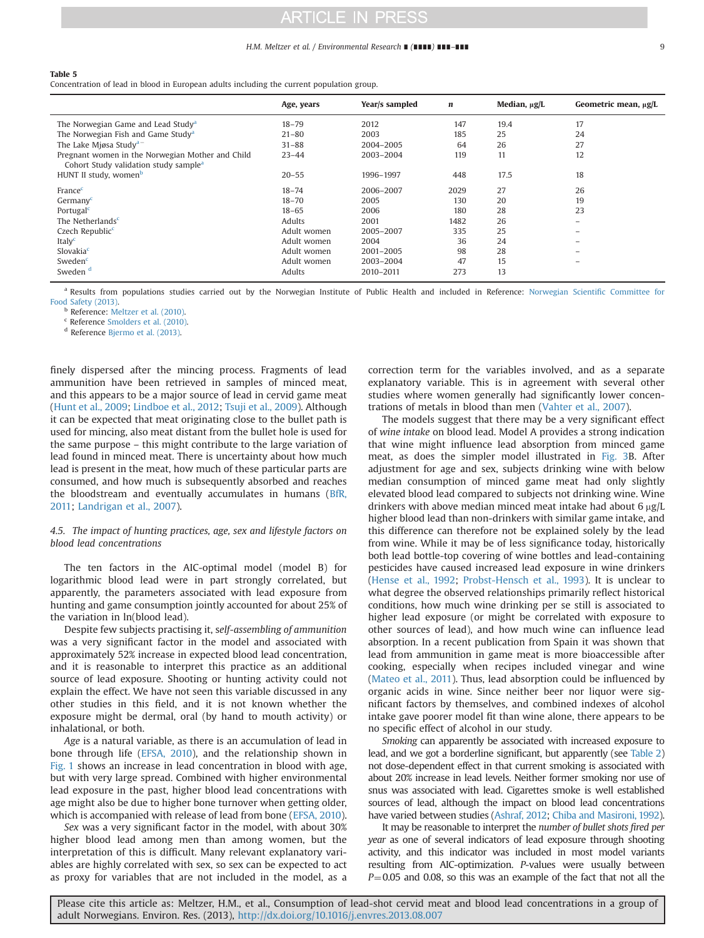### H.M. Meltzer et al. / Environmental Research ∎ (∎∎∎∎) ∎∎∎–∎∎∎ 9

### <span id="page-8-0"></span>Table 5

Concentration of lead in blood in European adults including the current population group.

|                                                                                                       | Age, years  | Year/s sampled | $\boldsymbol{n}$ | Median, µg/L | Geometric mean, µg/L |
|-------------------------------------------------------------------------------------------------------|-------------|----------------|------------------|--------------|----------------------|
| The Norwegian Game and Lead Study <sup>a</sup>                                                        | $18 - 79$   | 2012           | 147              | 19.4         | 17                   |
| The Norwegian Fish and Game Study <sup>a</sup>                                                        | $21 - 80$   | 2003           | 185              | 25           | 24                   |
| The Lake Migsa Study <sup>a-</sup>                                                                    | $31 - 88$   | 2004-2005      | 64               | 26           | 27                   |
| Pregnant women in the Norwegian Mother and Child<br>Cohort Study validation study sample <sup>a</sup> | $23 - 44$   | 2003-2004      | 119              | 11           | 12                   |
| HUNT II study, women <sup>b</sup>                                                                     | $20 - 55$   | 1996-1997      | 448              | 17.5         | 18                   |
| France                                                                                                | $18 - 74$   | 2006-2007      | 2029             | 27           | 26                   |
| Germany <sup>c</sup>                                                                                  | $18 - 70$   | 2005           | 130              | 20           | 19                   |
| Portugal <sup>c</sup>                                                                                 | $18 - 65$   | 2006           | 180              | 28           | 23                   |
| The Netherlands <sup>c</sup>                                                                          | Adults      | 2001           | 1482             | 26           |                      |
| Czech Republic <sup>c</sup>                                                                           | Adult women | 2005-2007      | 335              | 25           |                      |
| Italy <sup>c</sup>                                                                                    | Adult women | 2004           | 36               | 24           |                      |
| Slovakia <sup>c</sup>                                                                                 | Adult women | 2001-2005      | 98               | 28           |                      |
| Sweden <sup>c</sup>                                                                                   | Adult women | 2003-2004      | 47               | 15           |                      |
| Sweden <sup>d</sup>                                                                                   | Adults      | 2010-2011      | 273              | 13           |                      |

a Results from populations studies carried out by the Norwegian Institute of Public Health and included in Reference: [Norwegian Scienti](#page-10-0)fic Committee for [Food Safety \(2013\)](#page-10-0).

<sup>b</sup> Reference: [Meltzer et al. \(2010\).](#page-10-0)

<sup>c</sup> Reference [Smolders et al. \(2010\)](#page-10-0).

<sup>d</sup> Reference [Bjermo et al. \(2013\)](#page-10-0).

finely dispersed after the mincing process. Fragments of lead ammunition have been retrieved in samples of minced meat, and this appears to be a major source of lead in cervid game meat ([Hunt et al., 2009;](#page-10-0) [Lindboe et al., 2012;](#page-10-0) [Tsuji et al., 2009\)](#page-10-0). Although it can be expected that meat originating close to the bullet path is used for mincing, also meat distant from the bullet hole is used for the same purpose – this might contribute to the large variation of lead found in minced meat. There is uncertainty about how much lead is present in the meat, how much of these particular parts are consumed, and how much is subsequently absorbed and reaches the bloodstream and eventually accumulates in humans ([BfR,](#page-10-0) [2011](#page-10-0); [Landrigan et al., 2007](#page-10-0)).

## 4.5. The impact of hunting practices, age, sex and lifestyle factors on blood lead concentrations

The ten factors in the AIC-optimal model (model B) for logarithmic blood lead were in part strongly correlated, but apparently, the parameters associated with lead exposure from hunting and game consumption jointly accounted for about 25% of the variation in ln(blood lead).

Despite few subjects practising it, self-assembling of ammunition was a very significant factor in the model and associated with approximately 52% increase in expected blood lead concentration, and it is reasonable to interpret this practice as an additional source of lead exposure. Shooting or hunting activity could not explain the effect. We have not seen this variable discussed in any other studies in this field, and it is not known whether the exposure might be dermal, oral (by hand to mouth activity) or inhalational, or both.

Age is a natural variable, as there is an accumulation of lead in bone through life [\(EFSA, 2010](#page-10-0)), and the relationship shown in [Fig. 1](#page-4-0) shows an increase in lead concentration in blood with age, but with very large spread. Combined with higher environmental lead exposure in the past, higher blood lead concentrations with age might also be due to higher bone turnover when getting older, which is accompanied with release of lead from bone ([EFSA, 2010\)](#page-10-0).

Sex was a very significant factor in the model, with about 30% higher blood lead among men than among women, but the interpretation of this is difficult. Many relevant explanatory variables are highly correlated with sex, so sex can be expected to act as proxy for variables that are not included in the model, as a correction term for the variables involved, and as a separate explanatory variable. This is in agreement with several other studies where women generally had significantly lower concentrations of metals in blood than men ([Vahter et al., 2007](#page-10-0)).

The models suggest that there may be a very significant effect of wine intake on blood lead. Model A provides a strong indication that wine might influence lead absorption from minced game meat, as does the simpler model illustrated in [Fig. 3B](#page-5-0). After adjustment for age and sex, subjects drinking wine with below median consumption of minced game meat had only slightly elevated blood lead compared to subjects not drinking wine. Wine drinkers with above median minced meat intake had about  $6 \mu g/L$ higher blood lead than non-drinkers with similar game intake, and this difference can therefore not be explained solely by the lead from wine. While it may be of less significance today, historically both lead bottle-top covering of wine bottles and lead-containing pesticides have caused increased lead exposure in wine drinkers ([Hense et al., 1992](#page-10-0); [Probst-Hensch et al., 1993\)](#page-10-0). It is unclear to what degree the observed relationships primarily reflect historical conditions, how much wine drinking per se still is associated to higher lead exposure (or might be correlated with exposure to other sources of lead), and how much wine can influence lead absorption. In a recent publication from Spain it was shown that lead from ammunition in game meat is more bioaccessible after cooking, especially when recipes included vinegar and wine ([Mateo et al., 2011\)](#page-10-0). Thus, lead absorption could be influenced by organic acids in wine. Since neither beer nor liquor were significant factors by themselves, and combined indexes of alcohol intake gave poorer model fit than wine alone, there appears to be no specific effect of alcohol in our study.

Smoking can apparently be associated with increased exposure to lead, and we got a borderline significant, but apparently (see [Table 2\)](#page-3-0) not dose-dependent effect in that current smoking is associated with about 20% increase in lead levels. Neither former smoking nor use of snus was associated with lead. Cigarettes smoke is well established sources of lead, although the impact on blood lead concentrations have varied between studies ([Ashraf, 2012;](#page-10-0) [Chiba and Masironi, 1992\)](#page-10-0).

It may be reasonable to interpret the number of bullet shots fired per year as one of several indicators of lead exposure through shooting activity, and this indicator was included in most model variants resulting from AIC-optimization. P-values were usually between  $P=0.05$  and 0.08, so this was an example of the fact that not all the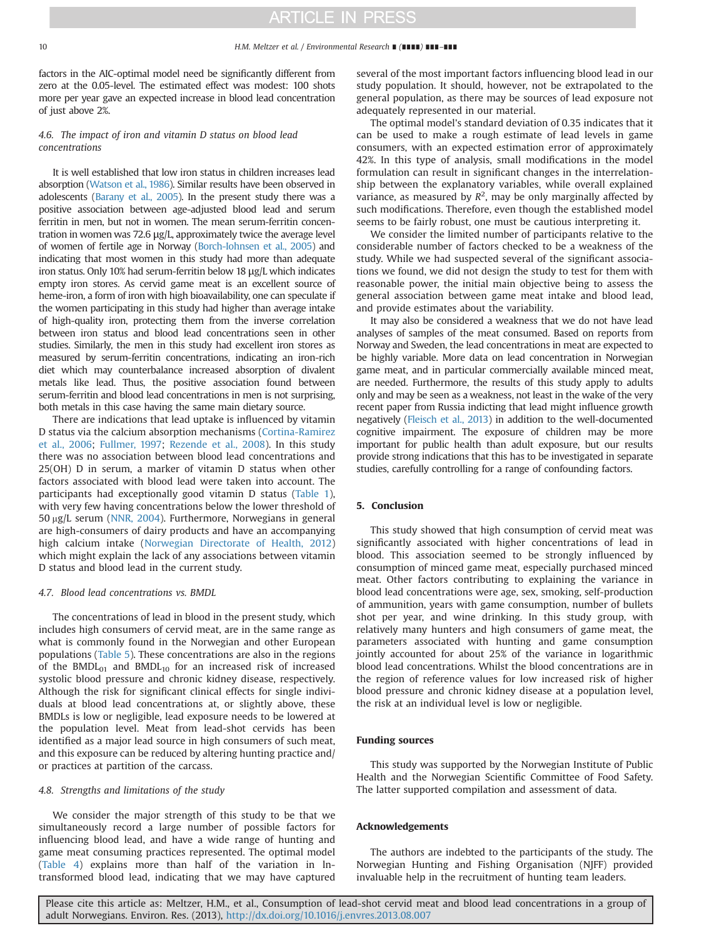factors in the AIC-optimal model need be significantly different from zero at the 0.05-level. The estimated effect was modest: 100 shots more per year gave an expected increase in blood lead concentration of just above 2%.

### 4.6. The impact of iron and vitamin D status on blood lead concentrations

It is well established that low iron status in children increases lead absorption [\(Watson et al., 1986](#page-10-0)). Similar results have been observed in adolescents ([Barany et al., 2005\)](#page-10-0). In the present study there was a positive association between age-adjusted blood lead and serum ferritin in men, but not in women. The mean serum-ferritin concentration in women was 72.6 μg/L, approximately twice the average level of women of fertile age in Norway ([Borch-Iohnsen et al., 2005](#page-10-0)) and indicating that most women in this study had more than adequate iron status. Only 10% had serum-ferritin below 18 μg/L which indicates empty iron stores. As cervid game meat is an excellent source of heme-iron, a form of iron with high bioavailability, one can speculate if the women participating in this study had higher than average intake of high-quality iron, protecting them from the inverse correlation between iron status and blood lead concentrations seen in other studies. Similarly, the men in this study had excellent iron stores as measured by serum-ferritin concentrations, indicating an iron-rich diet which may counterbalance increased absorption of divalent metals like lead. Thus, the positive association found between serum-ferritin and blood lead concentrations in men is not surprising, both metals in this case having the same main dietary source.

There are indications that lead uptake is influenced by vitamin D status via the calcium absorption mechanisms ([Cortina-Ramirez](#page-10-0) [et al., 2006;](#page-10-0) [Fullmer, 1997;](#page-10-0) [Rezende et al., 2008](#page-10-0)). In this study there was no association between blood lead concentrations and 25(OH) D in serum, a marker of vitamin D status when other factors associated with blood lead were taken into account. The participants had exceptionally good vitamin D status [\(Table 1\)](#page-2-0), with very few having concentrations below the lower threshold of  $50 \mu g/L$  serum ([NNR, 2004](#page-10-0)). Furthermore, Norwegians in general are high-consumers of dairy products and have an accompanying high calcium intake [\(Norwegian Directorate of Health, 2012\)](#page-10-0) which might explain the lack of any associations between vitamin D status and blood lead in the current study.

### 4.7. Blood lead concentrations vs. BMDL

The concentrations of lead in blood in the present study, which includes high consumers of cervid meat, are in the same range as what is commonly found in the Norwegian and other European populations ([Table 5\)](#page-8-0). These concentrations are also in the regions of the BMDL<sub>01</sub> and BMDL<sub>10</sub> for an increased risk of increased systolic blood pressure and chronic kidney disease, respectively. Although the risk for significant clinical effects for single individuals at blood lead concentrations at, or slightly above, these BMDLs is low or negligible, lead exposure needs to be lowered at the population level. Meat from lead-shot cervids has been identified as a major lead source in high consumers of such meat, and this exposure can be reduced by altering hunting practice and/ or practices at partition of the carcass.

### 4.8. Strengths and limitations of the study

We consider the major strength of this study to be that we simultaneously record a large number of possible factors for influencing blood lead, and have a wide range of hunting and game meat consuming practices represented. The optimal model ([Table 4\)](#page-6-0) explains more than half of the variation in lntransformed blood lead, indicating that we may have captured several of the most important factors influencing blood lead in our study population. It should, however, not be extrapolated to the general population, as there may be sources of lead exposure not adequately represented in our material.

The optimal model's standard deviation of 0.35 indicates that it can be used to make a rough estimate of lead levels in game consumers, with an expected estimation error of approximately 42%. In this type of analysis, small modifications in the model formulation can result in significant changes in the interrelationship between the explanatory variables, while overall explained variance, as measured by  $R^2$ , may be only marginally affected by such modifications. Therefore, even though the established model seems to be fairly robust, one must be cautious interpreting it.

We consider the limited number of participants relative to the considerable number of factors checked to be a weakness of the study. While we had suspected several of the significant associations we found, we did not design the study to test for them with reasonable power, the initial main objective being to assess the general association between game meat intake and blood lead, and provide estimates about the variability.

It may also be considered a weakness that we do not have lead analyses of samples of the meat consumed. Based on reports from Norway and Sweden, the lead concentrations in meat are expected to be highly variable. More data on lead concentration in Norwegian game meat, and in particular commercially available minced meat, are needed. Furthermore, the results of this study apply to adults only and may be seen as a weakness, not least in the wake of the very recent paper from Russia indicting that lead might influence growth negatively [\(Fleisch et al., 2013](#page-10-0)) in addition to the well-documented cognitive impairment. The exposure of children may be more important for public health than adult exposure, but our results provide strong indications that this has to be investigated in separate studies, carefully controlling for a range of confounding factors.

### 5. Conclusion

This study showed that high consumption of cervid meat was significantly associated with higher concentrations of lead in blood. This association seemed to be strongly influenced by consumption of minced game meat, especially purchased minced meat. Other factors contributing to explaining the variance in blood lead concentrations were age, sex, smoking, self-production of ammunition, years with game consumption, number of bullets shot per year, and wine drinking. In this study group, with relatively many hunters and high consumers of game meat, the parameters associated with hunting and game consumption jointly accounted for about 25% of the variance in logarithmic blood lead concentrations. Whilst the blood concentrations are in the region of reference values for low increased risk of higher blood pressure and chronic kidney disease at a population level, the risk at an individual level is low or negligible.

### Funding sources

This study was supported by the Norwegian Institute of Public Health and the Norwegian Scientific Committee of Food Safety. The latter supported compilation and assessment of data.

### Acknowledgements

The authors are indebted to the participants of the study. The Norwegian Hunting and Fishing Organisation (NJFF) provided invaluable help in the recruitment of hunting team leaders.